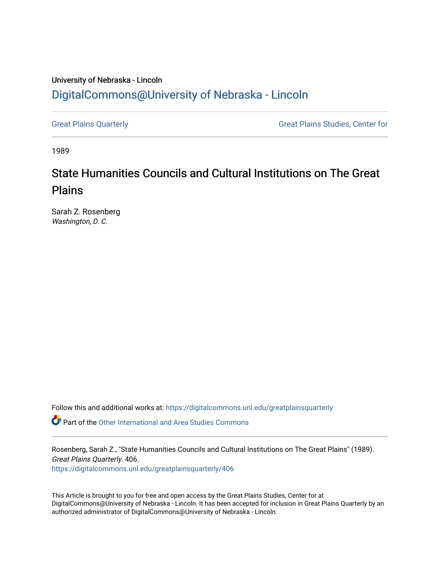## University of Nebraska - Lincoln [DigitalCommons@University of Nebraska - Lincoln](https://digitalcommons.unl.edu/)

[Great Plains Quarterly](https://digitalcommons.unl.edu/greatplainsquarterly) **Great Plains Studies**, Center for

1989

## State Humanities Councils and Cultural Institutions on The Great Plains

Sarah Z. Rosenberg Washington, D. C.

Follow this and additional works at: [https://digitalcommons.unl.edu/greatplainsquarterly](https://digitalcommons.unl.edu/greatplainsquarterly?utm_source=digitalcommons.unl.edu%2Fgreatplainsquarterly%2F406&utm_medium=PDF&utm_campaign=PDFCoverPages)

**P** Part of the [Other International and Area Studies Commons](http://network.bepress.com/hgg/discipline/365?utm_source=digitalcommons.unl.edu%2Fgreatplainsquarterly%2F406&utm_medium=PDF&utm_campaign=PDFCoverPages)

Rosenberg, Sarah Z., "State Humanities Councils and Cultural Institutions on The Great Plains" (1989). Great Plains Quarterly. 406.

[https://digitalcommons.unl.edu/greatplainsquarterly/406](https://digitalcommons.unl.edu/greatplainsquarterly/406?utm_source=digitalcommons.unl.edu%2Fgreatplainsquarterly%2F406&utm_medium=PDF&utm_campaign=PDFCoverPages) 

This Article is brought to you for free and open access by the Great Plains Studies, Center for at DigitalCommons@University of Nebraska - Lincoln. It has been accepted for inclusion in Great Plains Quarterly by an authorized administrator of DigitalCommons@University of Nebraska - Lincoln.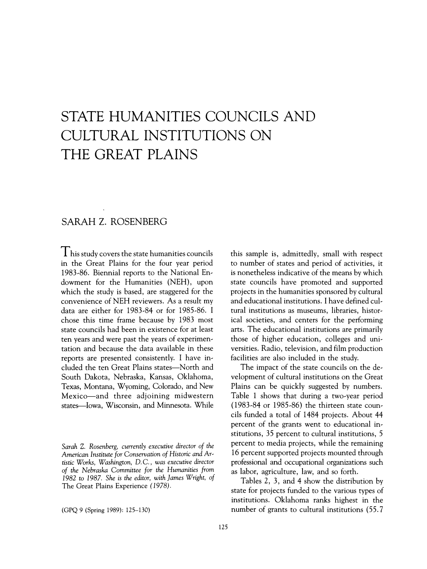# **STATE HUMANITIES COUNCILS AND CULTURAL INSTITUTIONS ON THE GREAT PLAINS**

### SARAH Z. ROSENBERG

 $\prod$  his study covers the state humanities councils in the Great Plains for the four year period 1983-86. Biennial reports to the National Endowment for the Humanities (NEH), upon which the study is based, are staggered for the convenience of NEH reviewers. As a result my data are either for 1983-84 or for 1985-86. I chose this time frame because by 1983 most state councils had been in existence for at least ten years and were past the years of experimentation and because the data available in these reports are presented consistently. I have included the ten Great Plains states-North and South Dakota, Nebraska, Kansas, Oklahoma, Texas, Montana, Wyoming, Colorado, and New Mexico-and three adjoining midwestern states-Iowa, Wisconsin, and Minnesota. While

(GPQ 9 (Spring 1989): 125-130)

this sample is, admittedly, small with respect to number of states and period of activities, it is nonetheless indicative of the means by which state councils have promoted and supported projects in the humanities sponsored by cultural and educational institutions. I have defined cultural institutions as museums, libraries, historical societies, and centers for the performing arts. The educational institutions are primarily those of higher education, colleges and universities. Radio, television, and film production facilities are also included in the study.

The impact of the state councils on the development of cultural institutions on the Great Plains can be quickly suggested by numbers. Table 1 shows that during a two-year period (1983-84 or 1985-86) the thirteen state councils funded a total of 1484 projects. About 44 percent of the grants went to educational institutions, 35 percent to cultural institutions, 5 percent to media projects, while the remaining 16 percent supported projects mounted through professional and occupational organizations such as labor, agriculture, law, and so forth.

Tables 2, 3, and 4 show the distribution by state for projects funded to the various types of institutions. Oklahoma ranks highest in the number of grants to cultural institutions (55.7

*Sarah* Z. *Rosenberg, currently executive director of the American Institute for Conservation of Historic and Artistic Works, Washington,* D. c., *was executive director of the Nebraska Committee for the Humanities from*  1982 to 1987. *She is the editor, with James Wright, of*  The Great Plains Experience (1978).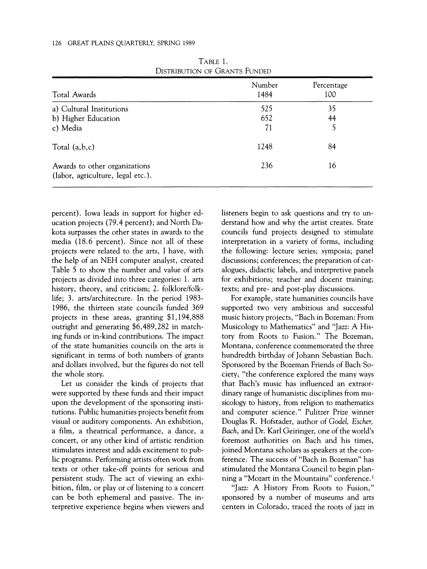| Total Awards                                                       | Number<br>1484 | Percentage<br>100 |
|--------------------------------------------------------------------|----------------|-------------------|
| a) Cultural Institutions                                           | 525            | 35                |
| b) Higher Education                                                | 652            | 44                |
| c) Media                                                           | 71             | 5                 |
| Total $(a,b,c)$                                                    | 1248           | 84                |
| Awards to other organizations<br>(labor, agriculture, legal etc.). | 236            | 16                |

TABLE 1. DISTRIBUTION OF GRANTS FUNDED

percent). Iowa leads in support for higher education projects (79.4 percent); and North Dakota surpasses the other states in awards to the media (18.6 percent). Since not all of these projects were related to the arts, I have, with the help of an NEH computer analyst, created Table 5 to show the number and value of arts projects as divided into three categories: 1. arts history, theory, and criticism; 2. folklore/folklife; 3. arts/architecture. In the period 1983- 1986, the thirteen state councils funded 369 projects in these areas, granting \$1,194,888 outright and generating \$6,489,282 in matching funds or in-kind contributions. The impact of the state humanities councils on the arts is significant in terms of both numbers of grants and dollars involved, but the figures do not tell the whole story.

Let us consider the kinds of projects that were supported by these funds and their impact upon the development of the sponsoring institutions. Public humanities projects benefit from visual or auditory components. An exhibition, a film, a theatrical performance, a dance, a concert, or any other kind of artistic rendition stimulates interest and adds excitement to public programs. Performing artists often work from texts or other take-off points for serious and persistent study. The act of viewing an exhibition, film, or play or of listening to a concert can be both ephemeral and passive. The interpretive experience begins when viewers and listeners begin to ask questions and try to understand how and why the artist creates. State councils fund projects designed to stimulate interpretation in a variety of forms, including the following: lecture series; symposia; panel discussions; conferences; the preparation of catalogues, didactic labels, and interpretive panels for exhibitions; teacher and docent training; texts; and pre- and post-play discussions.

For example, state humanities councils have supported two very ambitious and successful music history projects, "Bach in Bozeman: From Musicology to Mathematics" and "Jazz: A History from Roots to Fusion." The Bozeman, Montana, conference commemorated the three hundredth birthday of Johann Sebastian Bach. Sponsored by the Bozeman Friends of Bach Society, "the conference explored the many ways that Bach's music has influenced an extraordinary range of humanistic disciplines from musicology to history, from religion to mathematics and computer science." Pulitzer Prize winner Douglas R. Hofstader, author of *Godel, Escher, Bach,* and Dr. Karl Geiringer, one of the world's foremost authorities on Bach and his times, joined Montana scholars as speakers at the conference. The success of "Bach in Bozeman" has stimulated the Montana Council to begin planning a "Mozart in the Mountains" conference.<sup>1</sup>

"Jazz: A History From Roots to Fusion," sponsored by a number of museums and arts centers in Colorado, traced the roots of jazz in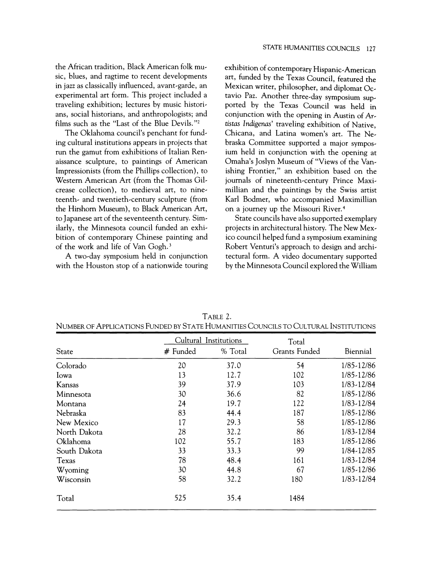the African tradition, Black American folk music, blues, and ragtime to recent developments in jazz as classically influenced, avant-garde, an experimental art form. This project included a traveling exhibition; lectures by music historians, social historians, and anthropologists; and films such as the "Last of the Blue Devils."2

The Oklahoma council's penchant for funding cultural institutions appears in projects that run the gamut from exhibitions of Italian Renaissance sculpture, to paintings of American Impressionists (from the Phillips collection), to Western American Art (from the Thomas Gilcrease collection), to medieval art, to nineteenth- and twentieth-century sculpture (from the Hirshorn Museum), to Black American Art, to Japanese art of the seventeenth century. Similarly, the Minnesota council funded an exhibition of contemporary Chinese painting and of the work and life of Van Gogh. <sup>3</sup>

A two-day symposium held in conjunction with the Houston stop of a nationwide touring exhibition of contemporary Hispanic-American art, funded by the Texas Council, featured the Mexican writer, philosopher, and diplomat Octavio Paz. Another three-day symposium supported by the Texas Council was held in conjunction with the opening in Austin of Ar*tistas* Indigenas' traveling exhibition of Native, Chicana, and Latina women's art. The Nebraska Committee supported a major symposium held in conjunction with the opening at Omaha's Joslyn Museum of "Views of the Vanishing Frontier," an exhibition based on the journals of nineteenth-century Prince Maximillian and the paintings by the Swiss artist Karl Bodmer, who accompanied Maximillian on a journey up the Missouri River. 4

State councils have also supported exemplary projects in architectural history. The New Mexico council helped fund a symposium examining Robert Venturi's approach to design and architectural form. A video documentary supported by the Minnesota Council explored the William

|              | Cultural Institutions |         | Total         |            |  |
|--------------|-----------------------|---------|---------------|------------|--|
| State        | # Funded              | % Total | Grants Funded | Biennial   |  |
| Colorado     | 20                    | 37.0    | 54            | 1/85-12/86 |  |
| Iowa         | 13                    | 12.7    | 102           | 1/85-12/86 |  |
| Kansas       | 39                    | 37.9    | 103           | 1/83-12/84 |  |
| Minnesota    | 30                    | 36.6    | 82            | 1/85-12/86 |  |
| Montana      | 24                    | 19.7    | 122           | 1/83-12/84 |  |
| Nebraska     | 83                    | 44.4    | 187           | 1/85-12/86 |  |
| New Mexico   | 17                    | 29.3    | 58            | 1/85-12/86 |  |
| North Dakota | 28                    | 32.2    | 86            | 1/83-12/84 |  |
| Oklahoma     | 102                   | 55.7    | 183           | 1/85-12/86 |  |
| South Dakota | 33                    | 33.3    | 99            | 1/84-12/85 |  |
| Texas        | 78                    | 48.4    | 161           | 1/83-12/84 |  |
| Wyoming      | 30                    | 44.8    | 67            | 1/85-12/86 |  |
| Wisconsin    | 58                    | 32.2    | 180           | 1/83-12/84 |  |
| Total        | 525                   | 35.4    | 1484          |            |  |

TABLE 2. NUMBER OF ApPLICATIONS FUNDED BY STATE HUMANITIES COUNCILS TO CULTURAL INSTITUTIONS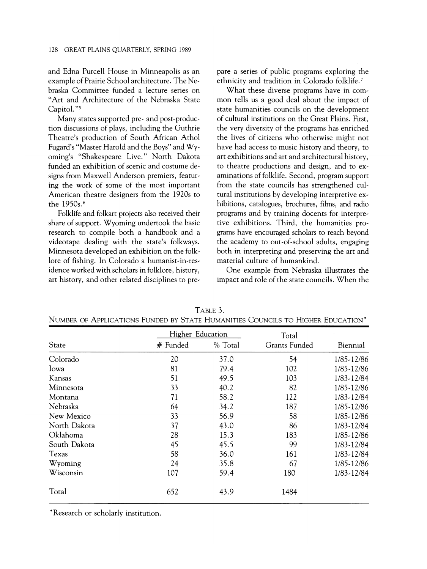and Edna Purcell House in Minneapolis as an example of Prairie School architecture. The Nebraska Committee funded a lecture series on "Art and Architecture of the Nebraska State Capitol."5

Many states supported pre- and post-production discussions of plays, including the Guthrie Theatre's production of South African Athol Fugard's "Master Harold and the Boys" and Wyoming's "Shakespeare Live." North Dakota funded an exhibition of scenic and costume designs from Maxwell Anderson premiers, featuring the work of some of the most important American theatre designers from the 1920s to the 1950s. <sup>6</sup>

Folklife and folkart projects also received their share of support. Wyoming undertook the basic research to compile both a handbook and a videotape dealing with the state's folkways. Minnesota developed an exhibition on the folklore of fishing. In Colorado a humanist-in-residence worked with scholars in folklore, history, art history, and other related disciplines to prepare a series of public programs exploring the ethnicity and tradition in Colorado folklife. <sup>7</sup>

What these diverse programs have in common tells us a good deal about the impact of state humanities councils on the development of cultural institutions on the Great Plains. First, the very diversity of the programs has enriched the lives of citizens who otherwise might not have had access to music history and theory, to art exhibitions and art and architectural history, to theatre productions and design, and to examinations of folklife. Second, program support from the state councils has strengthened cultural institutions by developing interpretive exhibitions, catalogues, brochures, films, and radio programs and by training docents for interpretive exhibitions. Third, the humanities programs have encouraged scholars to reach beyond the academy to out-of-school adults, engaging both in interpreting and preserving the art and material culture of humankind.

One example from Nebraska illustrates the impact and role of the state councils. When the

|              | Higher Education |         | Total         |            |  |
|--------------|------------------|---------|---------------|------------|--|
| State        | # Funded         | % Total | Grants Funded | Biennial   |  |
| Colorado     | 20               | 37.0    | 54            | 1/85-12/86 |  |
| lowa         | 81               | 79.4    | 102           | 1/85-12/86 |  |
| Kansas       | 51               | 49.5    | 103           | 1/83-12/84 |  |
| Minnesota    | 33               | 40.2    | 82            | 1/85-12/86 |  |
| Montana      | 71               | 58.2    | 122           | 1/83-12/84 |  |
| Nebraska     | 64               | 34.2    | 187           | 1/85-12/86 |  |
| New Mexico   | 33               | 56.9    | 58            | 1/85-12/86 |  |
| North Dakota | 37               | 43.0    | 86            | 1/83-12/84 |  |
| Oklahoma     | 28               | 15.3    | 183           | 1/85-12/86 |  |
| South Dakota | 45               | 45.5    | 99            | 1/83-12/84 |  |
| Texas        | 58               | 36.0    | 161           | 1/83-12/84 |  |
| Wyoming      | 24               | 35.8    | 67            | 1/85-12/86 |  |
| Wisconsin    | 107              | 59.4    | 180           | 1/83-12/84 |  |
| Total        | 652              | 43.9    | 1484          |            |  |

TABLE 3. NUMBER OF ApPLICATIONS FUNDED BY STATE HUMANITIES COUNCILS TO HIGHER EDUCATION"

"Research or scholarly institution.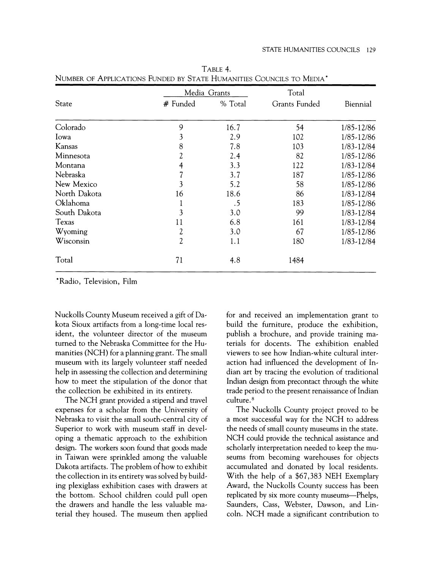|              | Media Grants   |         | Total         |            |  |
|--------------|----------------|---------|---------------|------------|--|
| State        | # Funded       | % Total | Grants Funded | Biennial   |  |
| Colorado     | 9              | 16.7    | 54            | 1/85-12/86 |  |
| Iowa         | 3              | 2.9     | 102           | 1/85-12/86 |  |
| Kansas       | 8              | 7.8     | 103           | 1/83-12/84 |  |
| Minnesota    | 2              | 2.4     | 82            | 1/85-12/86 |  |
| Montana      | 4              | 3.3     | 122           | 1/83-12/84 |  |
| Nebraska     |                | 3.7     | 187           | 1/85-12/86 |  |
| New Mexico   | 3              | 5.2     | 58            | 1/85-12/86 |  |
| North Dakota | 16             | 18.6    | 86            | 1/83-12/84 |  |
| Oklahoma     |                | .5      | 183           | 1/85-12/86 |  |
| South Dakota | 3              | 3.0     | 99            | 1/83-12/84 |  |
| Texas        | 11             | 6.8     | 161           | 1/83-12/84 |  |
| Wyoming      | 2              | 3.0     | 67            | 1/85-12/86 |  |
| Wisconsin    | $\overline{2}$ | 1.1     | 180           | 1/83-12/84 |  |
| Total        | 71             | 4.8     | 1484          |            |  |

TABLE 4. NUMBER OF ApPLICATIONS FUNDED BY STATE HUMANITIES COUNCILS TO MEDIA'

'Radio, Television, Film

Nuckolls County Museum received a gift of Dakota Sioux artifacts from a long-time local resident, the volunteer director of the museum turned to the Nebraska Committee for the Humanities (NCH) for a planning grant. The small museum with its largely volunteer staff needed help in assessing the collection and determining how to meet the stipulation of the donor that the collection be exhibited in its entirety.

The NCH grant provided a stipend and travel expenses for a scholar from the University of Nebraska to visit the small south-central city of Superior to work with museum staff in developing a thematic approach to the exhibition design. The workers soon found that goods made in Taiwan were sprinkled among the valuable Dakota artifacts. The problem of how to exhibit the collection in its entirety was solved by building plexiglass exhibition cases with drawers at the bottom. School children could pull open the drawers and handle the less valuable material they housed. The museum then applied for and received an implementation grant to build the furniture, produce the exhibition, publish a brochure, and provide training materials for docents. The exhibition enabled viewers to see how Indian-white cultural interaction had influenced the development of Indian art by tracing the evolution of traditional Indian design from precontact through the white trade period to the present renaissance of Indian culture. 8

The Nuckolls County project proved to be a most successful way for the NCH to address the needs of small county museums in the state. NCH could provide the technical assistance and scholarly interpretation needed to keep the museums from becoming warehouses for objects accumulated and donated by local residents. With the help of a \$67,383 NEH Exemplary Award, the Nuckolls County success has been replicated by six more county museums--Phelps, Saunders, Cass, Webster, Dawson, and Lincoln. NCH made a significant contribution to